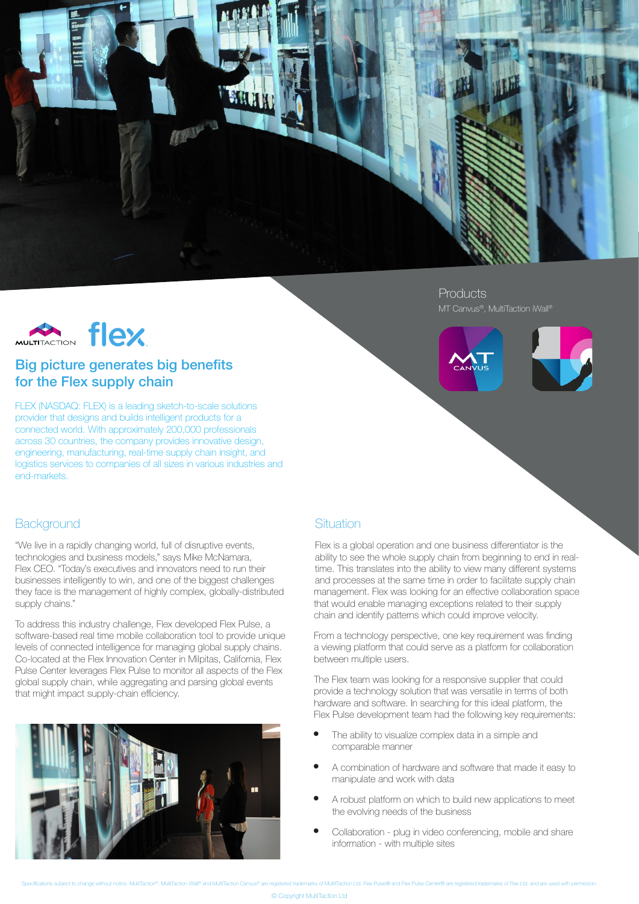

MULTITACTION FIEX

## Big picture generates big benefits for the Flex supply chain

FLEX (NASDAQ: FLEX) is a leading sketch-to-scale solutions provider that designs and builds intelligent products for a connected world. With approximately 200,000 professionals across 30 countries, the company provides innovative design, engineering, manufacturing, real-time supply chain insight, and logistics services to companies of all sizes in various industries and end-markets.

# **Products**





### **Background**

"We live in a rapidly changing world, full of disruptive events, technologies and business models," says Mike McNamara, Flex CEO. "Today's executives and innovators need to run their businesses intelligently to win, and one of the biggest challenges they face is the management of highly complex, globally-distributed supply chains."

To address this industry challenge, Flex developed Flex Pulse, a software-based real time mobile collaboration tool to provide unique levels of connected intelligence for managing global supply chains. Co-located at the Flex Innovation Center in Milpitas, California, Flex Pulse Center leverages Flex Pulse to monitor all aspects of the Flex global supply chain, while aggregating and parsing global events that might impact supply-chain efficiency.



### **Situation**

Flex is a global operation and one business differentiator is the ability to see the whole supply chain from beginning to end in realtime. This translates into the ability to view many different systems and processes at the same time in order to facilitate supply chain management. Flex was looking for an effective collaboration space that would enable managing exceptions related to their supply chain and identify patterns which could improve velocity.

From a technology perspective, one key requirement was finding a viewing platform that could serve as a platform for collaboration between multiple users.

The Flex team was looking for a responsive supplier that could provide a technology solution that was versatile in terms of both hardware and software. In searching for this ideal platform, the Flex Pulse development team had the following key requirements:

- The ability to visualize complex data in a simple and comparable manner
- A combination of hardware and software that made it easy to manipulate and work with data
- A robust platform on which to build new applications to meet the evolving needs of the business
- Collaboration plug in video conferencing, mobile and share information - with multiple sites

utitTaction Ltd. Elex Pulse® and Elex Pulse Center® are registered trademarks of Elex Ltd. and are used with per